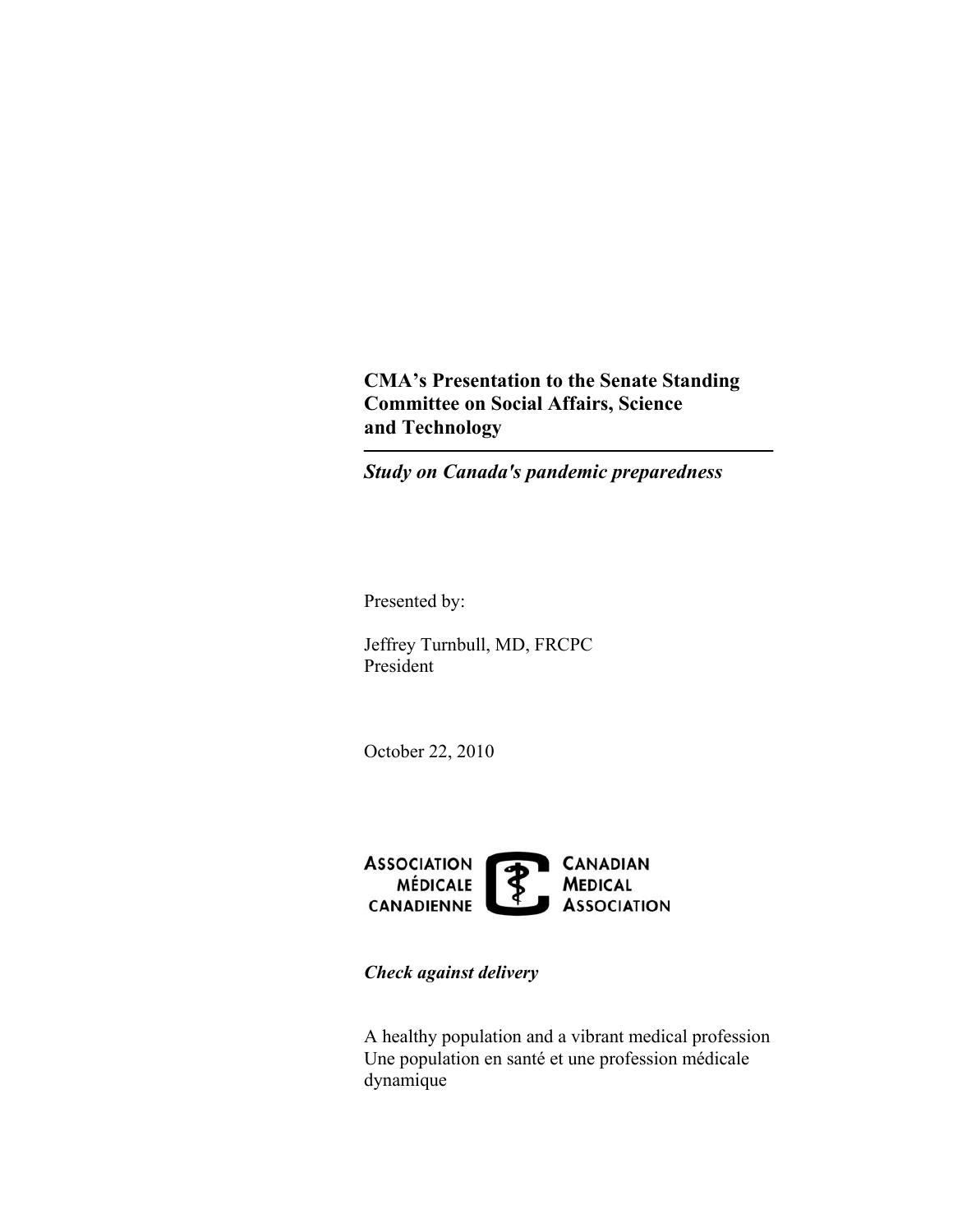**CMA's Presentation to the Senate Standing Committee on Social Affairs, Science and Technology** 

*Study on Canada's pandemic preparedness* 

Presented by:

Jeffrey Turnbull, MD, FRCPC President

October 22, 2010



*Check against delivery* 

A healthy population and a vibrant medical profession Une population en santé et une profession médicale dynamique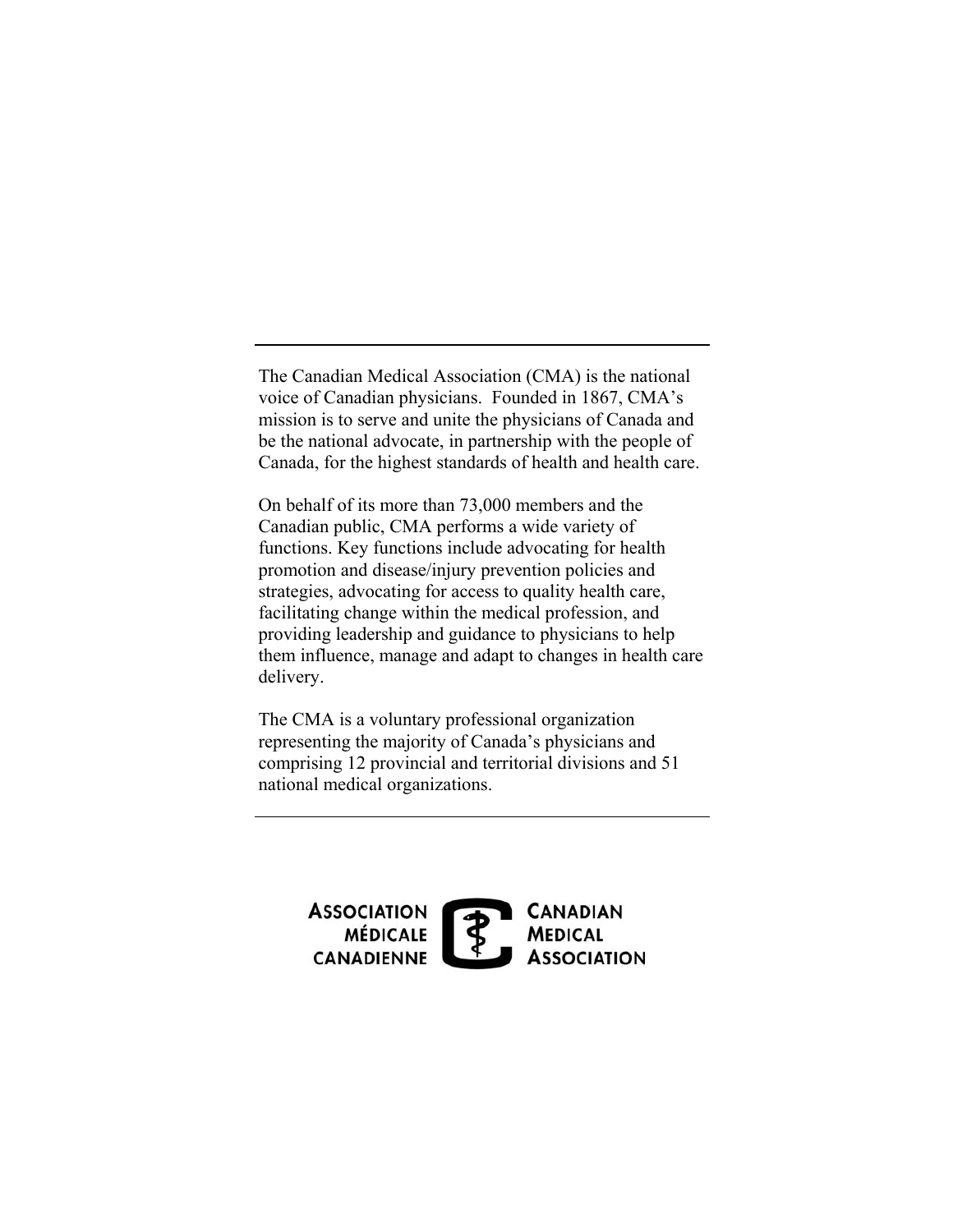The Canadian Medical Association (CMA) is the national voice of Canadian physicians. Founded in 1867, CMA's mission is to serve and unite the physicians of Canada and be the national advocate, in partnership with the people of Canada, for the highest standards of health and health care.

On behalf of its more than 73,000 members and the Canadian public, CMA performs a wide variety of functions. Key functions include advocating for health promotion and disease/injury prevention policies and strategies, advocating for access to quality health care, facilitating change within the medical profession, and providing leadership and guidance to physicians to help them influence, manage and adapt to changes in health care delivery.

The CMA is a voluntary professional organization representing the majority of Canada's physicians and comprising 12 provincial and territorial divisions and 51 national medical organizations.

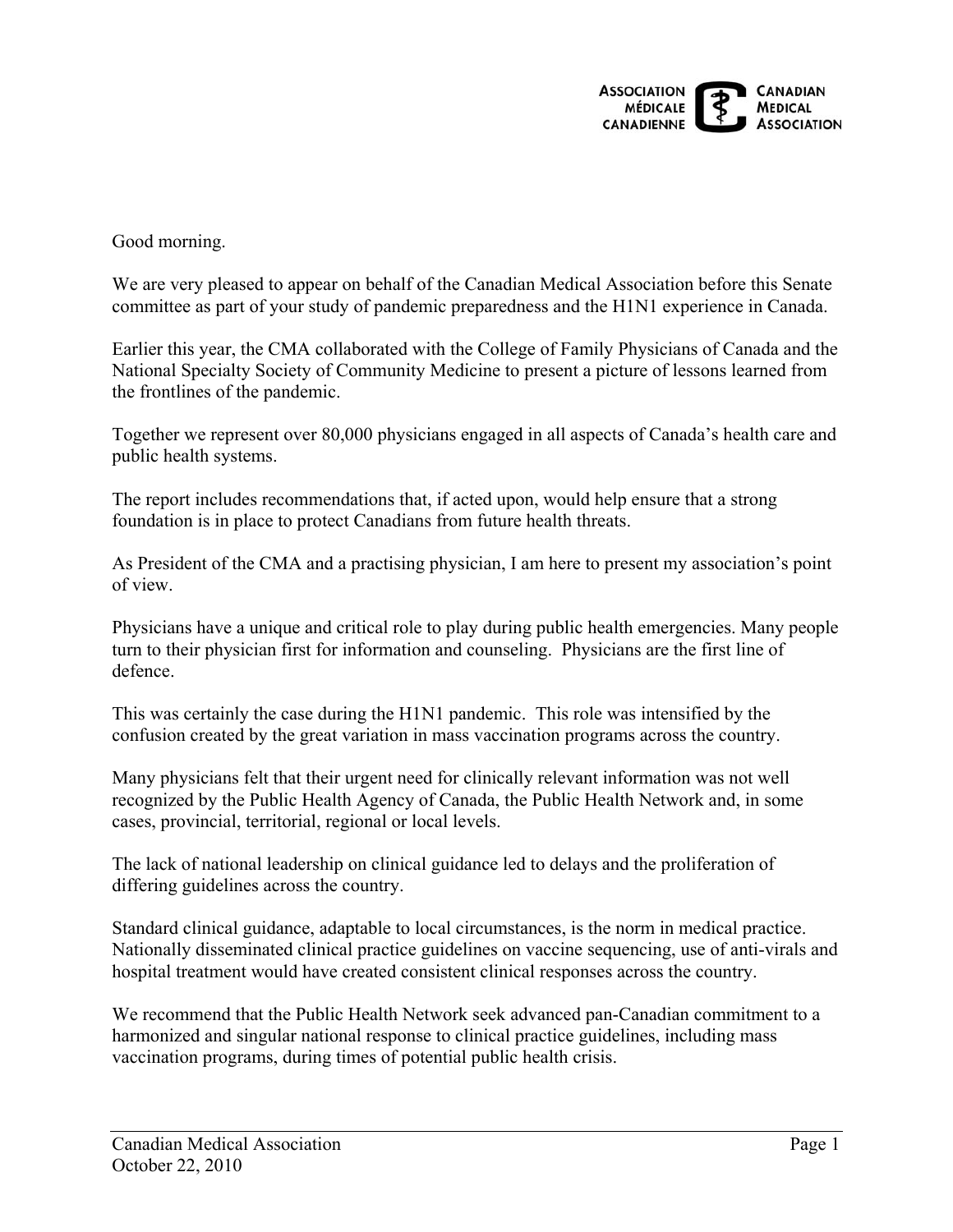

Good morning.

We are very pleased to appear on behalf of the Canadian Medical Association before this Senate committee as part of your study of pandemic preparedness and the H1N1 experience in Canada.

Earlier this year, the CMA collaborated with the College of Family Physicians of Canada and the National Specialty Society of Community Medicine to present a picture of lessons learned from the frontlines of the pandemic.

Together we represent over 80,000 physicians engaged in all aspects of Canada's health care and public health systems.

The report includes recommendations that, if acted upon, would help ensure that a strong foundation is in place to protect Canadians from future health threats.

As President of the CMA and a practising physician, I am here to present my association's point of view.

Physicians have a unique and critical role to play during public health emergencies. Many people turn to their physician first for information and counseling. Physicians are the first line of defence.

This was certainly the case during the H1N1 pandemic. This role was intensified by the confusion created by the great variation in mass vaccination programs across the country.

Many physicians felt that their urgent need for clinically relevant information was not well recognized by the Public Health Agency of Canada, the Public Health Network and, in some cases, provincial, territorial, regional or local levels.

The lack of national leadership on clinical guidance led to delays and the proliferation of differing guidelines across the country.

Standard clinical guidance, adaptable to local circumstances, is the norm in medical practice. Nationally disseminated clinical practice guidelines on vaccine sequencing, use of anti-virals and hospital treatment would have created consistent clinical responses across the country.

We recommend that the Public Health Network seek advanced pan-Canadian commitment to a harmonized and singular national response to clinical practice guidelines, including mass vaccination programs, during times of potential public health crisis.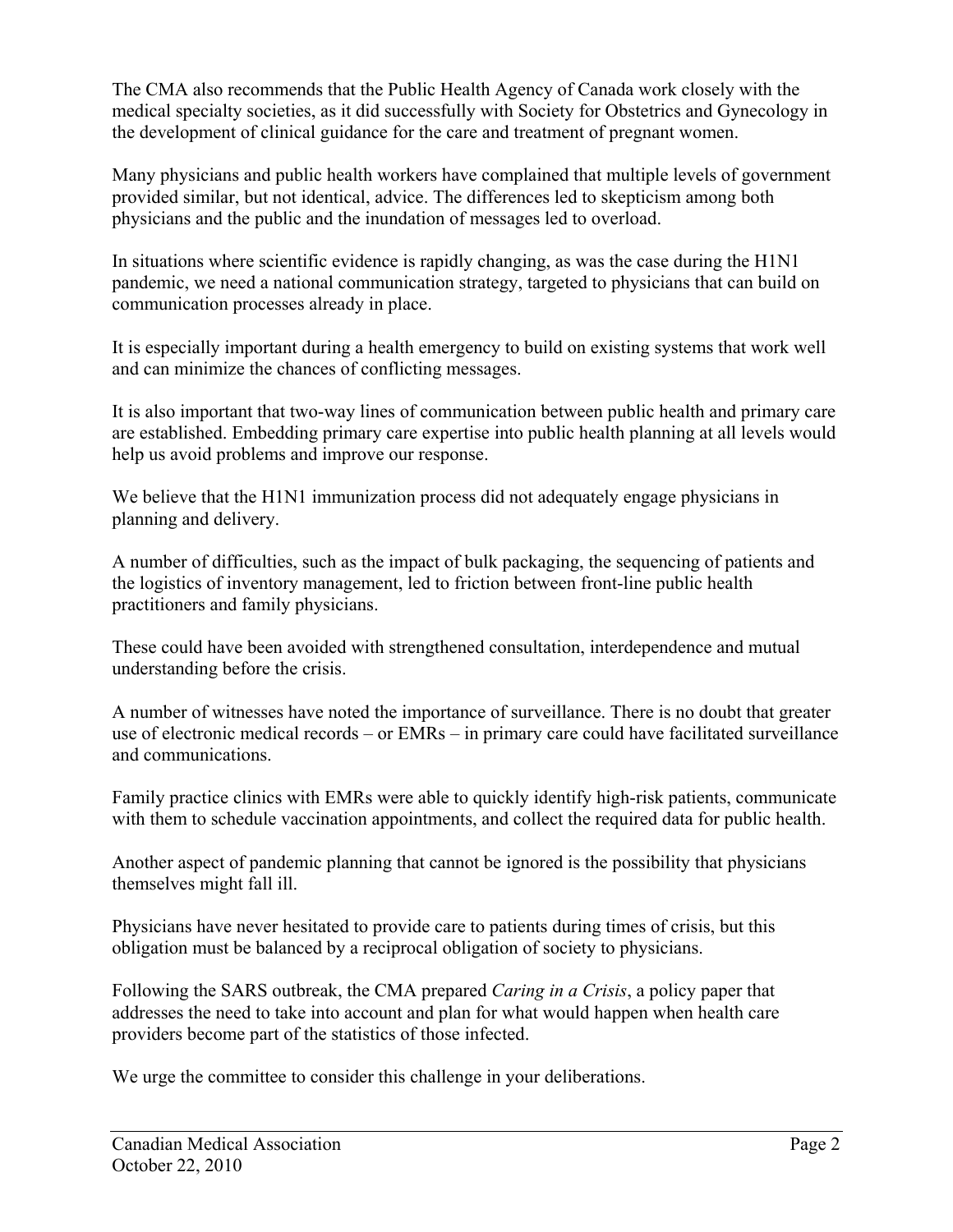The CMA also recommends that the Public Health Agency of Canada work closely with the medical specialty societies, as it did successfully with Society for Obstetrics and Gynecology in the development of clinical guidance for the care and treatment of pregnant women.

Many physicians and public health workers have complained that multiple levels of government provided similar, but not identical, advice. The differences led to skepticism among both physicians and the public and the inundation of messages led to overload.

In situations where scientific evidence is rapidly changing, as was the case during the H1N1 pandemic, we need a national communication strategy, targeted to physicians that can build on communication processes already in place.

It is especially important during a health emergency to build on existing systems that work well and can minimize the chances of conflicting messages.

It is also important that two-way lines of communication between public health and primary care are established. Embedding primary care expertise into public health planning at all levels would help us avoid problems and improve our response.

We believe that the H1N1 immunization process did not adequately engage physicians in planning and delivery.

A number of difficulties, such as the impact of bulk packaging, the sequencing of patients and the logistics of inventory management, led to friction between front-line public health practitioners and family physicians.

These could have been avoided with strengthened consultation, interdependence and mutual understanding before the crisis.

A number of witnesses have noted the importance of surveillance. There is no doubt that greater use of electronic medical records – or EMRs – in primary care could have facilitated surveillance and communications.

Family practice clinics with EMRs were able to quickly identify high-risk patients, communicate with them to schedule vaccination appointments, and collect the required data for public health.

Another aspect of pandemic planning that cannot be ignored is the possibility that physicians themselves might fall ill.

Physicians have never hesitated to provide care to patients during times of crisis, but this obligation must be balanced by a reciprocal obligation of society to physicians.

Following the SARS outbreak, the CMA prepared *Caring in a Crisis*, a policy paper that addresses the need to take into account and plan for what would happen when health care providers become part of the statistics of those infected.

We urge the committee to consider this challenge in your deliberations.